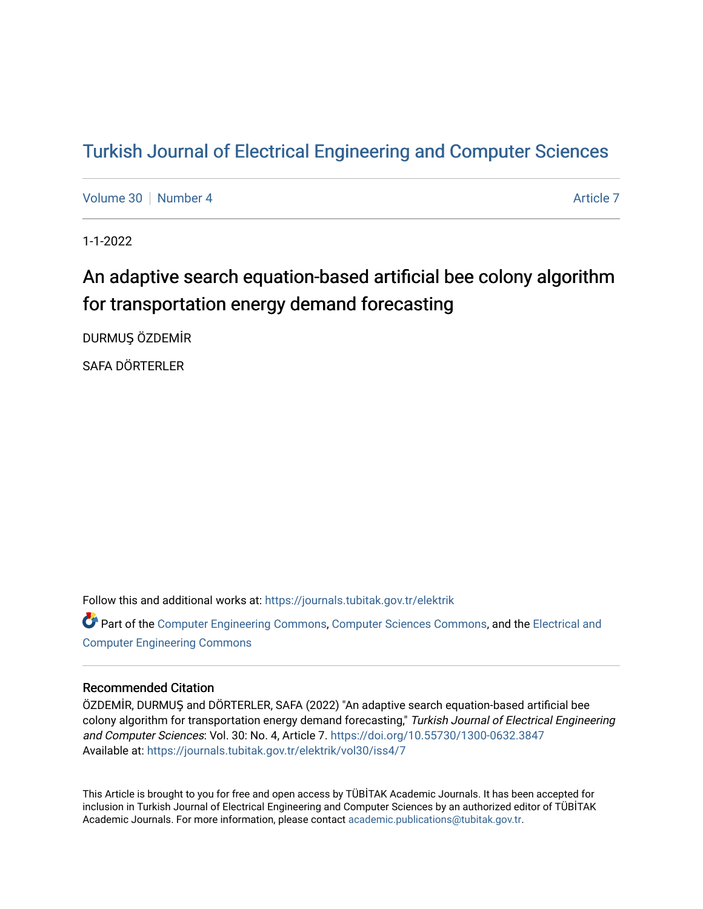# [Turkish Journal of Electrical Engineering and Computer Sciences](https://journals.tubitak.gov.tr/elektrik)

[Volume 30](https://journals.tubitak.gov.tr/elektrik/vol30) [Number 4](https://journals.tubitak.gov.tr/elektrik/vol30/iss4) [Article 7](https://journals.tubitak.gov.tr/elektrik/vol30/iss4/7) Article 7 Article 7 Article 7 Article 7 Article 7 Article 7

1-1-2022

# An adaptive search equation-based artificial bee colony algorithm for transportation energy demand forecasting

DURMUŞ ÖZDEMİR

SAFA DÖRTERLER

Follow this and additional works at: [https://journals.tubitak.gov.tr/elektrik](https://journals.tubitak.gov.tr/elektrik?utm_source=journals.tubitak.gov.tr%2Felektrik%2Fvol30%2Fiss4%2F7&utm_medium=PDF&utm_campaign=PDFCoverPages) 

Part of the [Computer Engineering Commons,](https://network.bepress.com/hgg/discipline/258?utm_source=journals.tubitak.gov.tr%2Felektrik%2Fvol30%2Fiss4%2F7&utm_medium=PDF&utm_campaign=PDFCoverPages) [Computer Sciences Commons](https://network.bepress.com/hgg/discipline/142?utm_source=journals.tubitak.gov.tr%2Felektrik%2Fvol30%2Fiss4%2F7&utm_medium=PDF&utm_campaign=PDFCoverPages), and the [Electrical and](https://network.bepress.com/hgg/discipline/266?utm_source=journals.tubitak.gov.tr%2Felektrik%2Fvol30%2Fiss4%2F7&utm_medium=PDF&utm_campaign=PDFCoverPages) [Computer Engineering Commons](https://network.bepress.com/hgg/discipline/266?utm_source=journals.tubitak.gov.tr%2Felektrik%2Fvol30%2Fiss4%2F7&utm_medium=PDF&utm_campaign=PDFCoverPages)

## Recommended Citation

ÖZDEMİR, DURMUŞ and DÖRTERLER, SAFA (2022) "An adaptive search equation-based artificial bee colony algorithm for transportation energy demand forecasting," Turkish Journal of Electrical Engineering and Computer Sciences: Vol. 30: No. 4, Article 7.<https://doi.org/10.55730/1300-0632.3847> Available at: [https://journals.tubitak.gov.tr/elektrik/vol30/iss4/7](https://journals.tubitak.gov.tr/elektrik/vol30/iss4/7?utm_source=journals.tubitak.gov.tr%2Felektrik%2Fvol30%2Fiss4%2F7&utm_medium=PDF&utm_campaign=PDFCoverPages) 

This Article is brought to you for free and open access by TÜBİTAK Academic Journals. It has been accepted for inclusion in Turkish Journal of Electrical Engineering and Computer Sciences by an authorized editor of TÜBİTAK Academic Journals. For more information, please contact [academic.publications@tubitak.gov.tr](mailto:academic.publications@tubitak.gov.tr).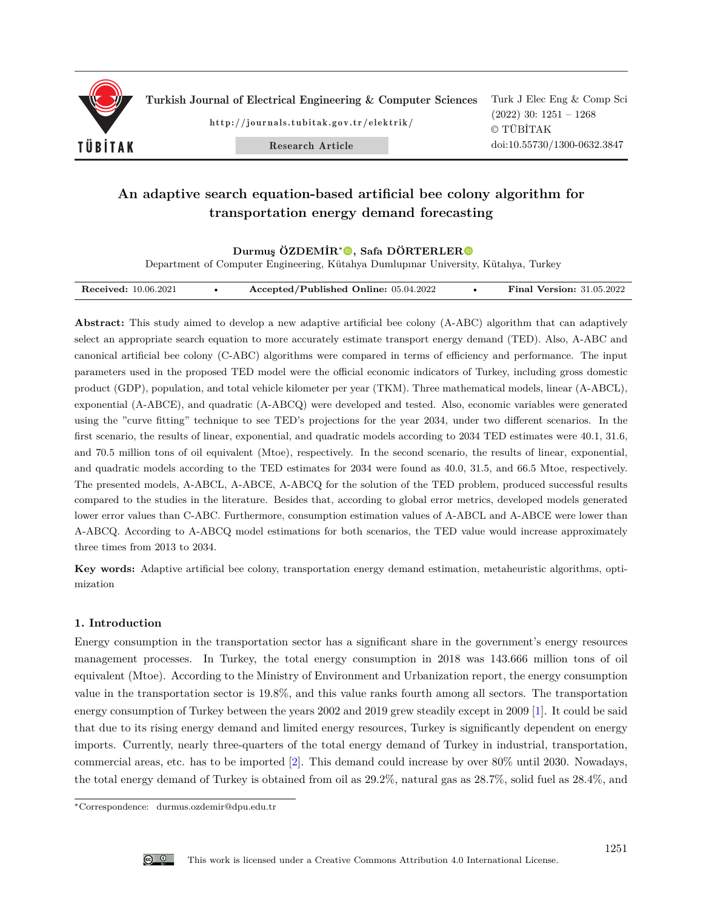

Turkish Journal of Electrical Engineering & Computer Sciences

http://journals.tubitak.gov.tr/elektrik/

Turk J Elec Eng & Comp Sci (2022) 30: 1251 – 1268 © TÜBİTAK doi:10.55730/1300-0632.3847

Research Article

# **An adaptive search equation-based artificial bee colony algorithm for transportation energy demand forecasting**

### Durmuş ÖZDEMİR<sup>∗</sup>**.**, Safa DÖRTERLER<sup></sub></sup>

Department of Computer Engineering, Kütahya Dumlupınar University, Kütahya, Turkey

| <b>Received:</b> 10.06.2021 |  | Accepted/Published Online: 05.04.2022 |  | <b>Final Version:</b> 31.05.2022 |
|-----------------------------|--|---------------------------------------|--|----------------------------------|
|-----------------------------|--|---------------------------------------|--|----------------------------------|

**Abstract:** This study aimed to develop a new adaptive artificial bee colony (A-ABC) algorithm that can adaptively select an appropriate search equation to more accurately estimate transport energy demand (TED). Also, A-ABC and canonical artificial bee colony (C-ABC) algorithms were compared in terms of efficiency and performance. The input parameters used in the proposed TED model were the official economic indicators of Turkey, including gross domestic product (GDP), population, and total vehicle kilometer per year (TKM). Three mathematical models, linear (A-ABCL), exponential (A-ABCE), and quadratic (A-ABCQ) were developed and tested. Also, economic variables were generated using the "curve fitting" technique to see TED's projections for the year 2034, under two different scenarios. In the first scenario, the results of linear, exponential, and quadratic models according to 2034 TED estimates were 40.1, 31.6, and 70.5 million tons of oil equivalent (Mtoe), respectively. In the second scenario, the results of linear, exponential, and quadratic models according to the TED estimates for 2034 were found as 40.0, 31.5, and 66.5 Mtoe, respectively. The presented models, A-ABCL, A-ABCE, A-ABCQ for the solution of the TED problem, produced successful results compared to the studies in the literature. Besides that, according to global error metrics, developed models generated lower error values than C-ABC. Furthermore, consumption estimation values of A-ABCL and A-ABCE were lower than A-ABCQ. According to A-ABCQ model estimations for both scenarios, the TED value would increase approximately three times from 2013 to 2034.

**Key words:** Adaptive artificial bee colony, transportation energy demand estimation, metaheuristic algorithms, optimization

### **1. Introduction**

Energy consumption in the transportation sector has a significant share in the government's energy resources management processes. In Turkey, the total energy consumption in 2018 was 143.666 million tons of oil equivalent (Mtoe). According to the Ministry of Environment and Urbanization report, the energy consumption value in the transportation sector is 19.8%, and this value ranks fourth among all sectors. The transportation energy consumption of Turkey between the years 2002 and 2019 grew steadily except in 2009 [\[1](#page-16-0)]. It could be said that due to its rising energy demand and limited energy resources, Turkey is significantly dependent on energy imports. Currently, nearly three-quarters of the total energy demand of Turkey in industrial, transportation, commercial areas, etc. has to be imported [\[2](#page-16-1)]. This demand could increase by over 80% until 2030. Nowadays, the total energy demand of Turkey is obtained from oil as 29.2%, natural gas as 28.7%, solid fuel as 28.4%, and

<sup>∗</sup>Correspondence: durmus.ozdemir@dpu.edu.tr

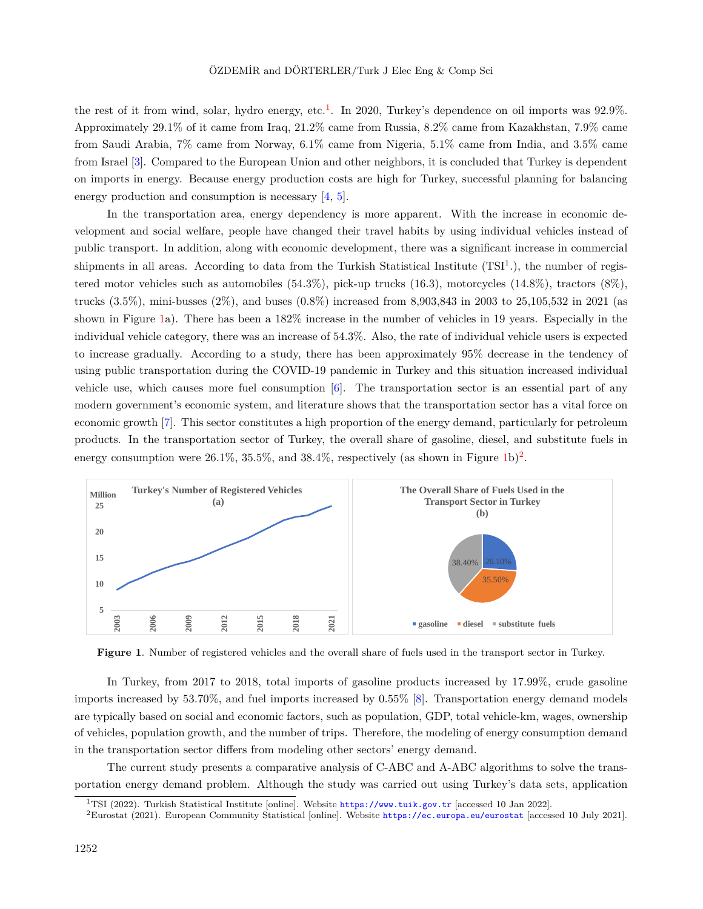the rest of it from wind, solar, hydro energy, etc.<sup>[1](#page-2-0)</sup>. In 2020, Turkey's dependence on oil imports was  $92.9\%$ . Approximately 29.1% of it came from Iraq, 21.2% came from Russia, 8.2% came from Kazakhstan, 7.9% came from Saudi Arabia, 7% came from Norway, 6.1% came from Nigeria, 5.1% came from India, and 3.5% came from Israel [\[3](#page-16-2)]. Compared to the European Union and other neighbors, it is concluded that Turkey is dependent on imports in energy. Because energy production costs are high for Turkey, successful planning for balancing energy production and consumption is necessary [\[4](#page-16-3), [5\]](#page-16-4).

In the transportation area, energy dependency is more apparent. With the increase in economic development and social welfare, people have changed their travel habits by using individual vehicles instead of public transport. In addition, along with economic development, there was a significant increase in commercial shipments in all areas. According to data from the Turkish Statistical Institute (TSI<sup>1</sup>.), the number of registered motor vehicles such as automobiles (54.3%), pick-up trucks (16.3), motorcycles (14.8%), tractors (8%), trucks (3.5%), mini-busses (2%), and buses (0.8%) increased from 8,903,843 in 2003 to 25,105,532 in 2021 (as shown in Figure [1a](#page-2-1)). There has been a 182% increase in the number of vehicles in 19 years. Especially in the individual vehicle category, there was an increase of 54.3%. Also, the rate of individual vehicle users is expected to increase gradually. According to a study, there has been approximately 95% decrease in the tendency of using public transportation during the COVID-19 pandemic in Turkey and this situation increased individual vehicle use, which causes more fuel consumption [[6\]](#page-16-5). The transportation sector is an essential part of any modern government's economic system, and literature shows that the transportation sector has a vital force on economic growth [\[7](#page-16-6)]. This sector constitutes a high proportion of the energy demand, particularly for petroleum products. In the transportation sector of Turkey, the overall share of gasoline, diesel, and substitute fuels in energy consumption were  $26.1\%$  $26.1\%$ ,  $35.5\%$ , and  $38.4\%$ , respectively (as shown in Figure [1b](#page-2-1))<sup>2</sup>.



<span id="page-2-1"></span>**Figure 1**. Number of registered vehicles and the overall share of fuels used in the transport sector in Turkey.

In Turkey, from 2017 to 2018, total imports of gasoline products increased by 17.99%, crude gasoline imports increased by 53.70%, and fuel imports increased by 0.55% [\[8](#page-16-7)]. Transportation energy demand models are typically based on social and economic factors, such as population, GDP, total vehicle-km, wages, ownership of vehicles, population growth, and the number of trips. Therefore, the modeling of energy consumption demand in the transportation sector differs from modeling other sectors' energy demand.

The current study presents a comparative analysis of C-ABC and A-ABC algorithms to solve the transportation energy demand problem. Although the study was carried out using Turkey's data sets, application

<span id="page-2-0"></span><sup>1</sup>TSI (2022). Turkish Statistical Institute [online]. Website <https://www.tuik.gov.tr> [accessed 10 Jan 2022].

<span id="page-2-2"></span><sup>2</sup>Eurostat (2021). European Community Statistical [online]. Website <https://ec.europa.eu/eurostat> [accessed 10 July 2021].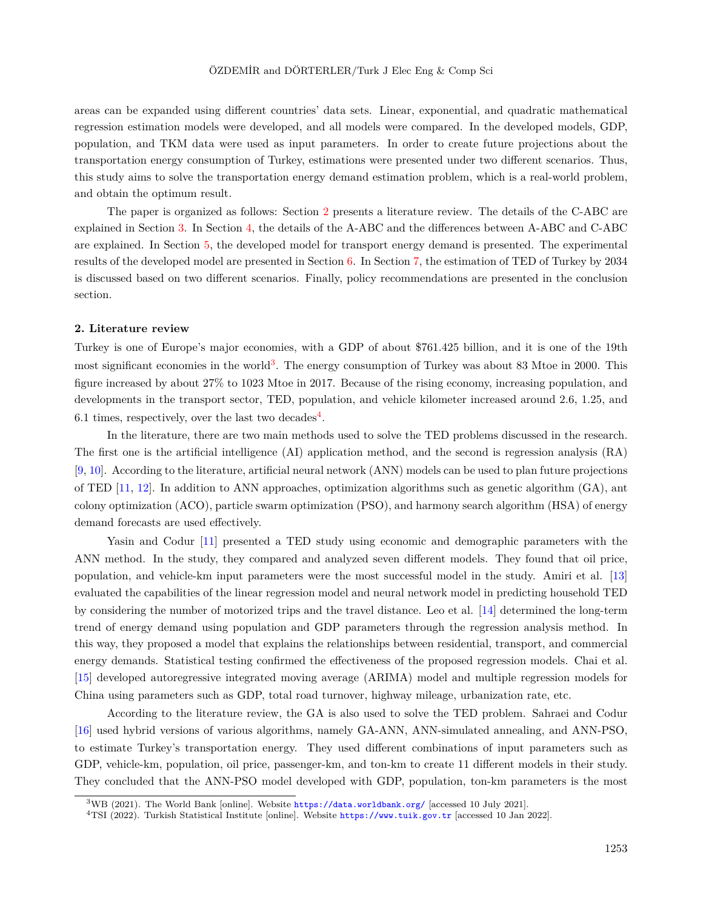areas can be expanded using different countries' data sets. Linear, exponential, and quadratic mathematical regression estimation models were developed, and all models were compared. In the developed models, GDP, population, and TKM data were used as input parameters. In order to create future projections about the transportation energy consumption of Turkey, estimations were presented under two different scenarios. Thus, this study aims to solve the transportation energy demand estimation problem, which is a real-world problem, and obtain the optimum result.

The paper is organized as follows: Section [2](#page-3-0) presents a literature review. The details of the C-ABC are explained in Section [3](#page-4-0). In Section [4](#page-5-0), the details of the A-ABC and the differences between A-ABC and C-ABC are explained. In Section [5,](#page-7-0) the developed model for transport energy demand is presented. The experimental results of the developed model are presented in Section [6](#page-8-0). In Section [7](#page-12-0), the estimation of TED of Turkey by 2034 is discussed based on two different scenarios. Finally, policy recommendations are presented in the conclusion section.

#### <span id="page-3-0"></span>**2. Literature review**

Turkey is one of Europe's major economies, with a GDP of about \$761.425 billion, and it is one of the 19th most significant economies in the world<sup>[3](#page-3-1)</sup>. The energy consumption of Turkey was about 83 Mtoe in 2000. This figure increased by about 27% to 1023 Mtoe in 2017. Because of the rising economy, increasing population, and developments in the transport sector, TED, population, and vehicle kilometer increased around 2.6, 1.25, and 6.1 times, respectively, over the last two decades<sup>[4](#page-3-2)</sup>.

In the literature, there are two main methods used to solve the TED problems discussed in the research. The first one is the artificial intelligence (AI) application method, and the second is regression analysis (RA) [[9,](#page-16-8) [10\]](#page-16-9). According to the literature, artificial neural network (ANN) models can be used to plan future projections of TED  $[11, 12]$  $[11, 12]$  $[11, 12]$  $[11, 12]$ . In addition to ANN approaches, optimization algorithms such as genetic algorithm  $(GA)$ , ant colony optimization (ACO), particle swarm optimization (PSO), and harmony search algorithm (HSA) of energy demand forecasts are used effectively.

Yasin and Codur [[11\]](#page-16-10) presented a TED study using economic and demographic parameters with the ANN method. In the study, they compared and analyzed seven different models. They found that oil price, population, and vehicle-km input parameters were the most successful model in the study. Amiri et al. [\[13](#page-16-12)] evaluated the capabilities of the linear regression model and neural network model in predicting household TED by considering the number of motorized trips and the travel distance. Leo et al. [[14\]](#page-16-13) determined the long-term trend of energy demand using population and GDP parameters through the regression analysis method. In this way, they proposed a model that explains the relationships between residential, transport, and commercial energy demands. Statistical testing confirmed the effectiveness of the proposed regression models. Chai et al. [[15\]](#page-16-14) developed autoregressive integrated moving average (ARIMA) model and multiple regression models for China using parameters such as GDP, total road turnover, highway mileage, urbanization rate, etc.

According to the literature review, the GA is also used to solve the TED problem. Sahraei and Codur [[16\]](#page-16-15) used hybrid versions of various algorithms, namely GA-ANN, ANN-simulated annealing, and ANN-PSO, to estimate Turkey's transportation energy. They used different combinations of input parameters such as GDP, vehicle-km, population, oil price, passenger-km, and ton-km to create 11 different models in their study. They concluded that the ANN-PSO model developed with GDP, population, ton-km parameters is the most

<span id="page-3-1"></span><sup>3</sup>WB (2021). The World Bank [online]. Website <https://data.worldbank.org/> [accessed 10 July 2021].

<span id="page-3-2"></span><sup>4</sup>TSI (2022). Turkish Statistical Institute [online]. Website <https://www.tuik.gov.tr> [accessed 10 Jan 2022].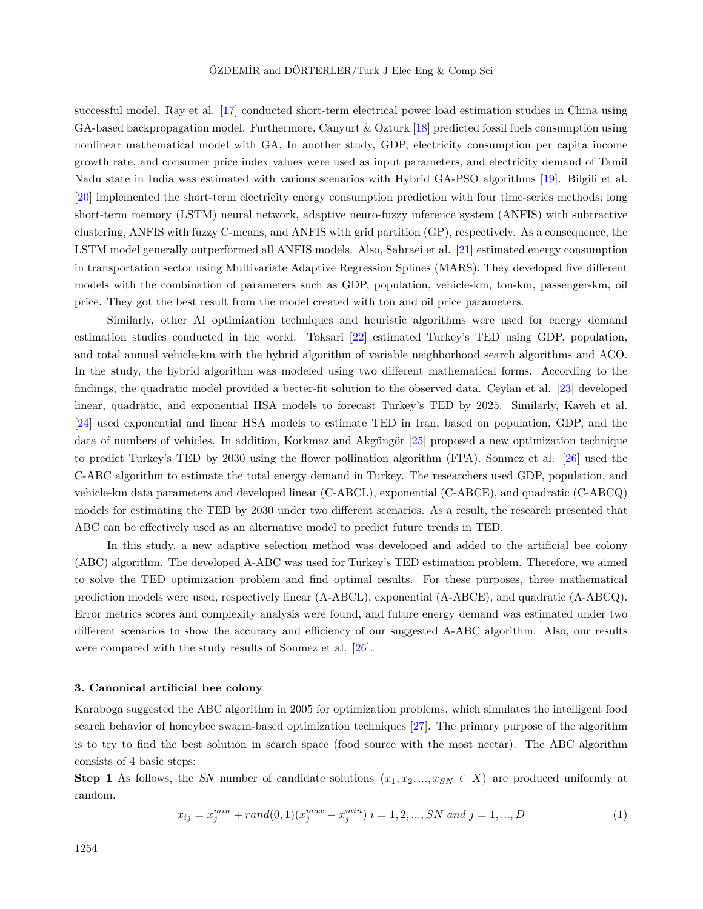successful model. Ray et al. [\[17](#page-16-16)] conducted short-term electrical power load estimation studies in China using GA-based backpropagation model. Furthermore, Canyurt & Ozturk [\[18](#page-17-0)] predicted fossil fuels consumption using nonlinear mathematical model with GA. In another study, GDP, electricity consumption per capita income growth rate, and consumer price index values were used as input parameters, and electricity demand of Tamil Nadu state in India was estimated with various scenarios with Hybrid GA-PSO algorithms [\[19](#page-17-1)]. Bilgili et al. [[20\]](#page-17-2) implemented the short-term electricity energy consumption prediction with four time-series methods; long short-term memory (LSTM) neural network, adaptive neuro-fuzzy inference system (ANFIS) with subtractive clustering, ANFIS with fuzzy C-means, and ANFIS with grid partition (GP), respectively. As a consequence, the LSTM model generally outperformed all ANFIS models. Also, Sahraei et al. [[21\]](#page-17-3) estimated energy consumption in transportation sector using Multivariate Adaptive Regression Splines (MARS). They developed five different models with the combination of parameters such as GDP, population, vehicle-km, ton-km, passenger-km, oil price. They got the best result from the model created with ton and oil price parameters.

Similarly, other AI optimization techniques and heuristic algorithms were used for energy demand estimation studies conducted in the world. Toksari [\[22](#page-17-4)] estimated Turkey's TED using GDP, population, and total annual vehicle-km with the hybrid algorithm of variable neighborhood search algorithms and ACO. In the study, the hybrid algorithm was modeled using two different mathematical forms. According to the findings, the quadratic model provided a better-fit solution to the observed data. Ceylan et al. [[23\]](#page-17-5) developed linear, quadratic, and exponential HSA models to forecast Turkey's TED by 2025. Similarly, Kaveh et al. [[24\]](#page-17-6) used exponential and linear HSA models to estimate TED in Iran, based on population, GDP, and the data of numbers of vehicles. In addition, Korkmaz and Akgüngör [[25\]](#page-17-7) proposed a new optimization technique to predict Turkey's TED by 2030 using the flower pollination algorithm (FPA). Sonmez et al. [[26\]](#page-17-8) used the C-ABC algorithm to estimate the total energy demand in Turkey. The researchers used GDP, population, and vehicle-km data parameters and developed linear (C-ABCL), exponential (C-ABCE), and quadratic (C-ABCQ) models for estimating the TED by 2030 under two different scenarios. As a result, the research presented that ABC can be effectively used as an alternative model to predict future trends in TED.

In this study, a new adaptive selection method was developed and added to the artificial bee colony (ABC) algorithm. The developed A-ABC was used for Turkey's TED estimation problem. Therefore, we aimed to solve the TED optimization problem and find optimal results. For these purposes, three mathematical prediction models were used, respectively linear (A-ABCL), exponential (A-ABCE), and quadratic (A-ABCQ). Error metrics scores and complexity analysis were found, and future energy demand was estimated under two different scenarios to show the accuracy and efficiency of our suggested A-ABC algorithm. Also, our results were compared with the study results of Sonmez et al. [\[26](#page-17-8)].

#### <span id="page-4-0"></span>**3. Canonical artificial bee colony**

Karaboga suggested the ABC algorithm in 2005 for optimization problems, which simulates the intelligent food search behavior of honeybee swarm-based optimization techniques[[27\]](#page-17-9). The primary purpose of the algorithm is to try to find the best solution in search space (food source with the most nectar). The ABC algorithm consists of 4 basic steps:

<span id="page-4-1"></span>**Step 1** As follows, the *SN* number of candidate solutions  $(x_1, x_2, ..., x_{SN} \in X)$  are produced uniformly at random.

$$
x_{ij} = x_j^{min} + rand(0, 1)(x_j^{max} - x_j^{min}) \ i = 1, 2, ..., SN \ and \ j = 1, ..., D
$$
 (1)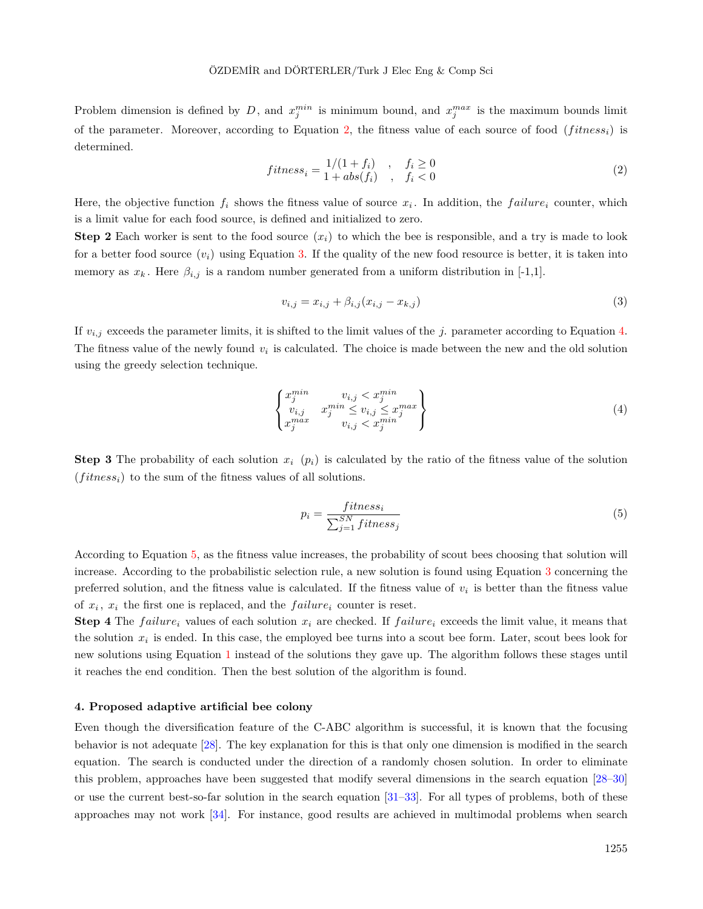<span id="page-5-1"></span>Problem dimension is defined by *D*, and  $x_j^{min}$  is minimum bound, and  $x_j^{max}$  is the maximum bounds limit of the parameter. Moreover, according to Equation [2](#page-5-1), the fitness value of each source of food  $(fitness_i)$  is determined.

$$
fitness_i = \frac{1/(1+f_i)}{1+abs(f_i)}, \quad f_i \ge 0
$$
\n
$$
(2)
$$

Here, the objective function  $f_i$  shows the fitness value of source  $x_i$ . In addition, the  $failure_i$  counter, which is a limit value for each food source, is defined and initialized to zero.

**Step 2** Each worker is sent to the food source  $(x_i)$  to which the bee is responsible, and a try is made to look for a better food source  $(v_i)$  using Equation [3.](#page-5-2) If the quality of the new food resource is better, it is taken into memory as  $x_k$ . Here  $\beta_{i,j}$  is a random number generated from a uniform distribution in [-1,1].

<span id="page-5-2"></span>
$$
v_{i,j} = x_{i,j} + \beta_{i,j}(x_{i,j} - x_{k,j})
$$
\n(3)

If  $v_{i,j}$  exceeds the parameter limits, it is shifted to the limit values of the *j*. parameter according to Equation [4](#page-5-3). The fitness value of the newly found *v<sup>i</sup>* is calculated. The choice is made between the new and the old solution using the greedy selection technique.

<span id="page-5-3"></span>
$$
\begin{Bmatrix} x_j^{min} & v_{i,j} < x_j^{min} \\ v_{i,j} & x_j^{min} \le v_{i,j} \le x_j^{max} \\ x_j^{max} & v_{i,j} < x_j^{min} \end{Bmatrix} \tag{4}
$$

**Step 3** The probability of each solution  $x_i$  ( $p_i$ ) is calculated by the ratio of the fitness value of the solution  $(fithess<sub>i</sub>)$  to the sum of the fitness values of all solutions.

<span id="page-5-4"></span>
$$
p_i = \frac{fitness_i}{\sum_{j=1}^{SN} fitness_j}
$$
\n<sup>(5)</sup>

According to Equation [5](#page-5-4), as the fitness value increases, the probability of scout bees choosing that solution will increase. According to the probabilistic selection rule, a new solution is found using Equation [3](#page-5-2) concerning the preferred solution, and the fitness value is calculated. If the fitness value of  $v_i$  is better than the fitness value of  $x_i$ ,  $x_i$  the first one is replaced, and the  $failure_i$  counter is reset.

**Step 4** The *failure*<sub>*i*</sub> values of each solution  $x_i$  are checked. If *failure*<sub>*i*</sub> exceeds the limit value, it means that the solution  $x_i$  is ended. In this case, the employed bee turns into a scout bee form. Later, scout bees look for new solutions using Equation [1](#page-4-1) instead of the solutions they gave up. The algorithm follows these stages until it reaches the end condition. Then the best solution of the algorithm is found.

#### <span id="page-5-0"></span>**4. Proposed adaptive artificial bee colony**

Even though the diversification feature of the C-ABC algorithm is successful, it is known that the focusing behavior is not adequate [[28\]](#page-17-10). The key explanation for this is that only one dimension is modified in the search equation. The search is conducted under the direction of a randomly chosen solution. In order to eliminate this problem, approaches have been suggested that modify several dimensions in the search equation [\[28](#page-17-10)[–30](#page-17-11)] or use the current best-so-far solution in the search equation  $[31-33]$  $[31-33]$  $[31-33]$ . For all types of problems, both of these approaches may not work [\[34](#page-17-14)]. For instance, good results are achieved in multimodal problems when search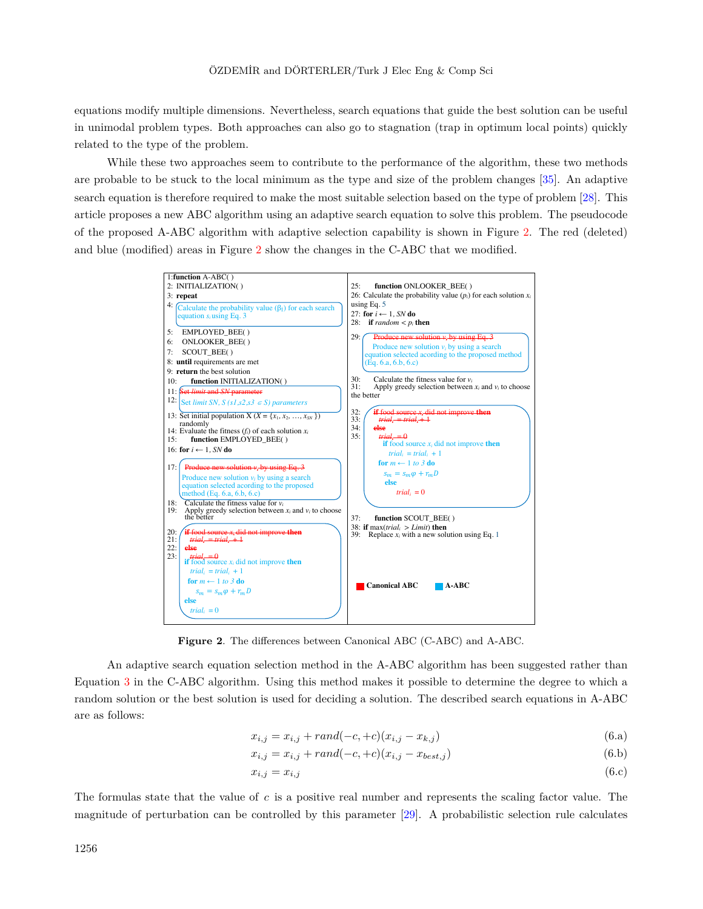equations modify multiple dimensions. Nevertheless, search equations that guide the best solution can be useful in unimodal problem types. Both approaches can also go to stagnation (trap in optimum local points) quickly related to the type of the problem.

While these two approaches seem to contribute to the performance of the algorithm, these two methods are probable to be stuck to the local minimum as the type and size of the problem changes [[35\]](#page-17-15). An adaptive search equation is therefore required to make the most suitable selection based on the type of problem [[28\]](#page-17-10). This article proposes a new ABC algorithm using an adaptive search equation to solve this problem. The pseudocode of the proposed A-ABC algorithm with adaptive selection capability is shown in Figure [2.](#page-6-0) The red (deleted) and blue (modified) areas in Figure [2](#page-6-0) show the changes in the C-ABC that we modified.



**Figure 2**. The differences between Canonical ABC (C-ABC) and A-ABC.

An adaptive search equation selection method in the A-ABC algorithm has been suggested rather than Equation [3](#page-5-2) in the C-ABC algorithm. Using this method makes it possible to determine the degree to which a random solution or the best solution is used for deciding a solution. The described search equations in A-ABC are as follows:

<span id="page-6-0"></span>
$$
x_{i,j} = x_{i,j} + rand(-c, +c)(x_{i,j} - x_{k,j})
$$
\n(6.a)

$$
x_{i,j} = x_{i,j} + rand(-c, +c)(x_{i,j} - x_{best,j})
$$
\n(6.b)

$$
x_{i,j} = x_{i,j} \tag{6.c}
$$

The formulas state that the value of *c* is a positive real number and represents the scaling factor value. The magnitude of perturbation can be controlled by this parameter [[29\]](#page-17-16). A probabilistic selection rule calculates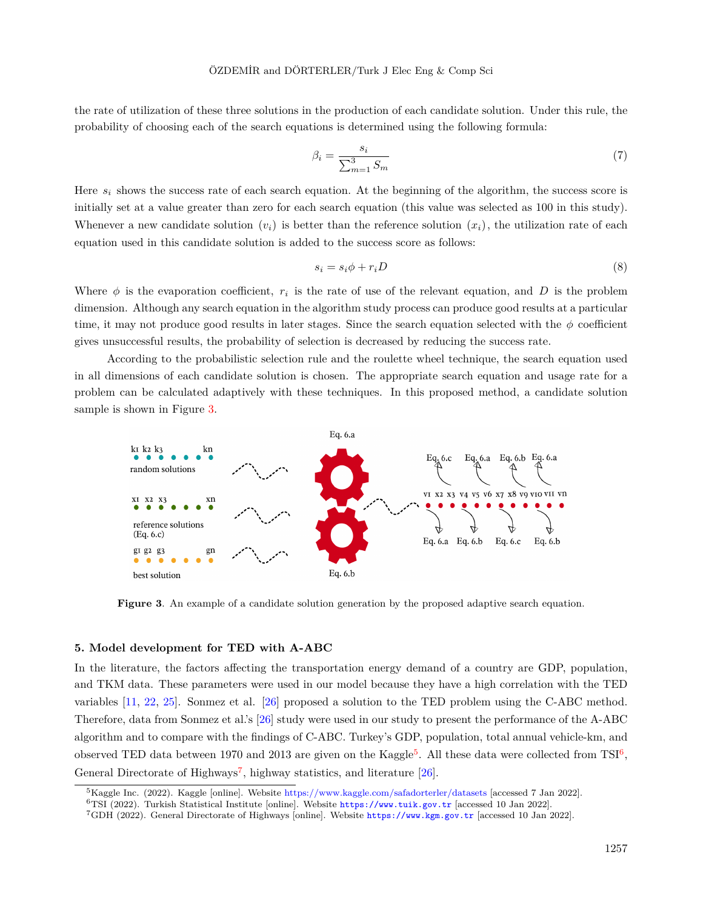the rate of utilization of these three solutions in the production of each candidate solution. Under this rule, the probability of choosing each of the search equations is determined using the following formula:

$$
\beta_i = \frac{s_i}{\sum_{m=1}^3 S_m} \tag{7}
$$

Here *s<sup>i</sup>* shows the success rate of each search equation. At the beginning of the algorithm, the success score is initially set at a value greater than zero for each search equation (this value was selected as 100 in this study). Whenever a new candidate solution  $(v_i)$  is better than the reference solution  $(x_i)$ , the utilization rate of each equation used in this candidate solution is added to the success score as follows:

<span id="page-7-1"></span>
$$
s_i = s_i \phi + r_i D \tag{8}
$$

Where  $\phi$  is the evaporation coefficient,  $r_i$  is the rate of use of the relevant equation, and *D* is the problem dimension. Although any search equation in the algorithm study process can produce good results at a particular time, it may not produce good results in later stages. Since the search equation selected with the  $\phi$  coefficient gives unsuccessful results, the probability of selection is decreased by reducing the success rate.

According to the probabilistic selection rule and the roulette wheel technique, the search equation used in all dimensions of each candidate solution is chosen. The appropriate search equation and usage rate for a problem can be calculated adaptively with these techniques. In this proposed method, a candidate solution sample is shown in Figure [3](#page-7-1).



**Figure 3.** An example of a candidate solution generation by the proposed adaptive search equation.

#### <span id="page-7-0"></span>**5. Model development for TED with A-ABC**

In the literature, the factors affecting the transportation energy demand of a country are GDP, population, and TKM data. These parameters were used in our model because they have a high correlation with the TED variables [\[11](#page-16-10), [22,](#page-17-4) [25](#page-17-7)]. Sonmez et al. [[26\]](#page-17-8) proposed a solution to the TED problem using the C-ABC method. Therefore, data from Sonmez et al.'s [[26\]](#page-17-8) study were used in our study to present the performance of the A-ABC algorithm and to compare with the findings of C-ABC. Turkey's GDP, population, total annual vehicle-km, and observed TED data between 1970 and 2013 are given on the Kaggle<sup>[5](#page-7-2)</sup>. All these data were collected from TSI<sup>[6](#page-7-3)</sup>, General Directorate of Highways<sup>[7](#page-7-4)</sup>, highway statistics, and literature [[26\]](#page-17-8).

<span id="page-7-2"></span><sup>&</sup>lt;sup>5</sup>Kaggle Inc. (2022). Kaggle [online]. Website [https://www.kaggle.com/safadorterler/datasets](https://www.kaggle.com/datasets/safadorterler/turkeys-observed-historical-data-19702013) [accessed 7 Jan 2022].

<span id="page-7-3"></span><sup>6</sup>TSI (2022). Turkish Statistical Institute [online]. Website <https://www.tuik.gov.tr> [accessed 10 Jan 2022].

<span id="page-7-4"></span><sup>7</sup>GDH (2022). General Directorate of Highways [online]. Website <https://www.kgm.gov.tr> [accessed 10 Jan 2022].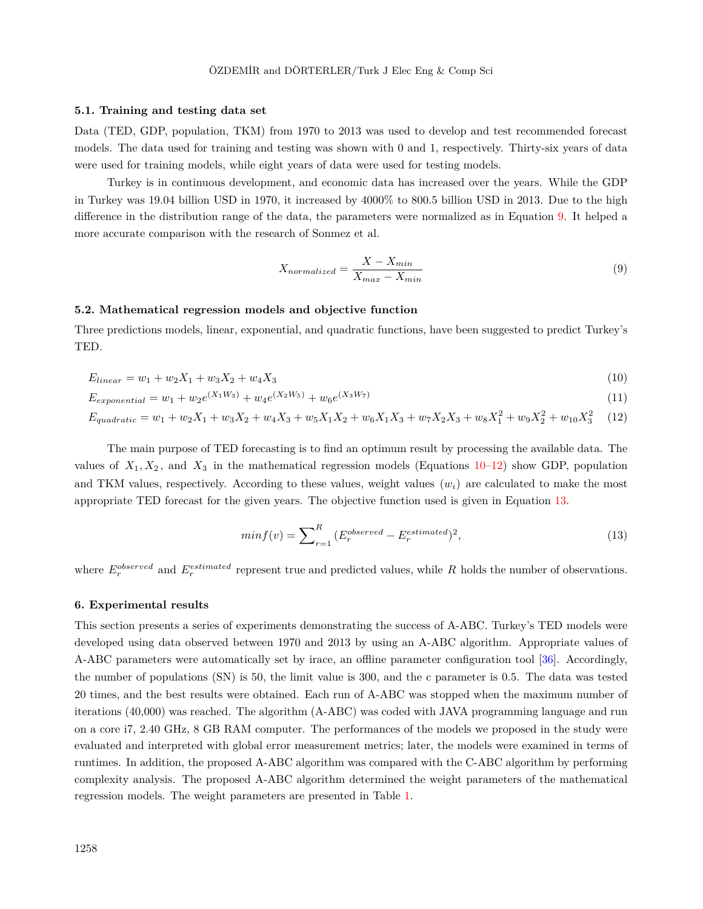#### **5.1. Training and testing data set**

Data (TED, GDP, population, TKM) from 1970 to 2013 was used to develop and test recommended forecast models. The data used for training and testing was shown with 0 and 1, respectively. Thirty-six years of data were used for training models, while eight years of data were used for testing models.

Turkey is in continuous development, and economic data has increased over the years. While the GDP in Turkey was 19.04 billion USD in 1970, it increased by 4000% to 800.5 billion USD in 2013. Due to the high difference in the distribution range of the data, the parameters were normalized as in Equation [9](#page-8-1). It helped a more accurate comparison with the research of Sonmez et al.

<span id="page-8-3"></span><span id="page-8-2"></span><span id="page-8-1"></span>
$$
X_{normalized} = \frac{X - X_{min}}{X_{max} - X_{min}}\tag{9}
$$

#### **5.2. Mathematical regression models and objective function**

Three predictions models, linear, exponential, and quadratic functions, have been suggested to predict Turkey's TED.

$$
E_{linear} = w_1 + w_2 X_1 + w_3 X_2 + w_4 X_3 \tag{10}
$$

$$
E_{exponential} = w_1 + w_2 e^{(X_1 W_3)} + w_4 e^{(X_2 W_5)} + w_6 e^{(X_3 W_7)} \tag{11}
$$

$$
E_{quadratic} = w_1 + w_2 X_1 + w_3 X_2 + w_4 X_3 + w_5 X_1 X_2 + w_6 X_1 X_3 + w_7 X_2 X_3 + w_8 X_1^2 + w_9 X_2^2 + w_{10} X_3^2 \tag{12}
$$

The main purpose of TED forecasting is to find an optimum result by processing the available data. The values of  $X_1, X_2$ , and  $X_3$  in the mathematical regression models (Equations [10](#page-8-2)[–12\)](#page-8-3) show GDP, population and TKM values, respectively. According to these values, weight values  $(w<sub>i</sub>)$  are calculated to make the most appropriate TED forecast for the given years. The objective function used is given in Equation [13](#page-8-4).

<span id="page-8-4"></span>
$$
min f(v) = \sum_{r=1}^{R} \left( E_r^{observed} - E_r^{estimated} \right)^2,\tag{13}
$$

where  $E_r^{observed}$  and  $E_r^{estimated}$  represent true and predicted values, while R holds the number of observations.

#### <span id="page-8-0"></span>**6. Experimental results**

This section presents a series of experiments demonstrating the success of A-ABC. Turkey's TED models were developed using data observed between 1970 and 2013 by using an A-ABC algorithm. Appropriate values of A-ABC parameters were automatically set by irace, an offline parameter configuration tool [\[36](#page-17-17)]. Accordingly, the number of populations (SN) is 50, the limit value is 300, and the c parameter is 0.5. The data was tested 20 times, and the best results were obtained. Each run of A-ABC was stopped when the maximum number of iterations (40,000) was reached. The algorithm (A-ABC) was coded with JAVA programming language and run on a core i7, 2.40 GHz, 8 GB RAM computer. The performances of the models we proposed in the study were evaluated and interpreted with global error measurement metrics; later, the models were examined in terms of runtimes. In addition, the proposed A-ABC algorithm was compared with the C-ABC algorithm by performing complexity analysis. The proposed A-ABC algorithm determined the weight parameters of the mathematical regression models. The weight parameters are presented in Table [1](#page-9-0).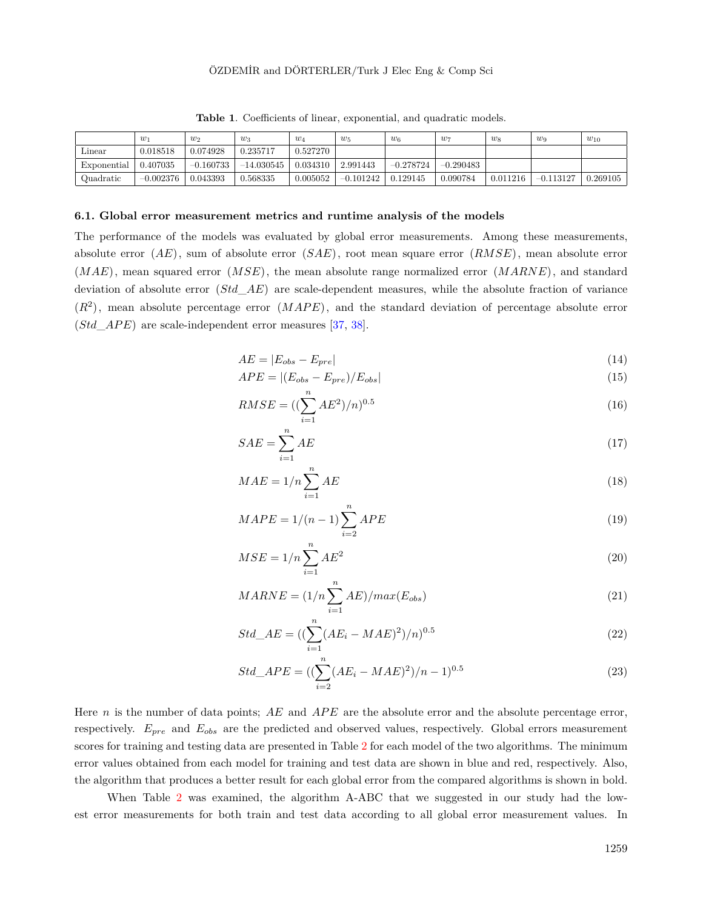<span id="page-9-0"></span>

|             | w           | $w_2$       | $w_3$        | $w_4$    | $w_5$       | $w_6$       | $w_7$       | $w_8$    | $w_9$       | $w_{10}$ |
|-------------|-------------|-------------|--------------|----------|-------------|-------------|-------------|----------|-------------|----------|
| Linear      | 0.018518    | 0.074928    | 0.235717     | 0.527270 |             |             |             |          |             |          |
| Exponential | 0.407035    | $-0.160733$ | $-14.030545$ | 0.034310 | 2.991443    | $-0.278724$ | $-0.290483$ |          |             |          |
| Quadratic   | $-0.002376$ | 0.043393    | 0.568335     | 0.005052 | $-0.101242$ | 0.129145    | 0.090784    | 0.011216 | $-0.113127$ | 0.269105 |

**Table 1**. Coefficients of linear, exponential, and quadratic models.

#### **6.1. Global error measurement metrics and runtime analysis of the models**

The performance of the models was evaluated by global error measurements. Among these measurements, absolute error (*AE*), sum of absolute error (*SAE*), root mean square error (*RMSE*), mean absolute error (*MAE*), mean squared error (*MSE*), the mean absolute range normalized error (*MARNE*), and standard deviation of absolute error (*Std*\_*AE*) are scale-dependent measures, while the absolute fraction of variance  $(R<sup>2</sup>)$ , mean absolute percentage error  $(MAPE)$ , and the standard deviation of percentage absolute error  $(Std \; APE)$  are scale-independent error measures  $[37, 38]$  $[37, 38]$  $[37, 38]$  $[37, 38]$ .

$$
AE = |E_{obs} - E_{pre}| \tag{14}
$$

$$
APE = |(E_{obs} - E_{pre})/E_{obs}|
$$
\n<sup>(15)</sup>

$$
RMSE = ((\sum_{i=1}^{n} AE^2)/n)^{0.5}
$$
\n(16)

$$
SAE = \sum_{i=1}^{n} AE
$$
\n<sup>(17)</sup>

$$
MAE = 1/n \sum_{i=1}^{n} AE
$$
\n
$$
(18)
$$

$$
MAPE = 1/(n-1)\sum_{i=2}^{n} APE
$$
 (19)

$$
MSE = 1/n \sum_{i=1}^{n} AE^2
$$
\n
$$
(20)
$$

$$
MARNE = (1/n \sum_{i=1}^{n} AE)/max(E_{obs})
$$
\n(21)

$$
Std\_AE = ((\sum_{i=1}^{n} (AE_i - MAE)^2)/n)^{0.5}
$$
\n(22)

$$
Std\_APE = ((\sum_{i=2}^{n} (AE_i - MAE)^2)/n - 1)^{0.5}
$$
\n(23)

Here *n* is the number of data points; AE and APE are the absolute error and the absolute percentage error, respectively. *Epre* and *Eobs* are the predicted and observed values, respectively. Global errors measurement scores for training and testing data are presented in Table [2](#page-10-0) for each model of the two algorithms. The minimum error values obtained from each model for training and test data are shown in blue and red, respectively. Also, the algorithm that produces a better result for each global error from the compared algorithms is shown in bold.

When Table [2](#page-10-0) was examined, the algorithm A-ABC that we suggested in our study had the lowest error measurements for both train and test data according to all global error measurement values. In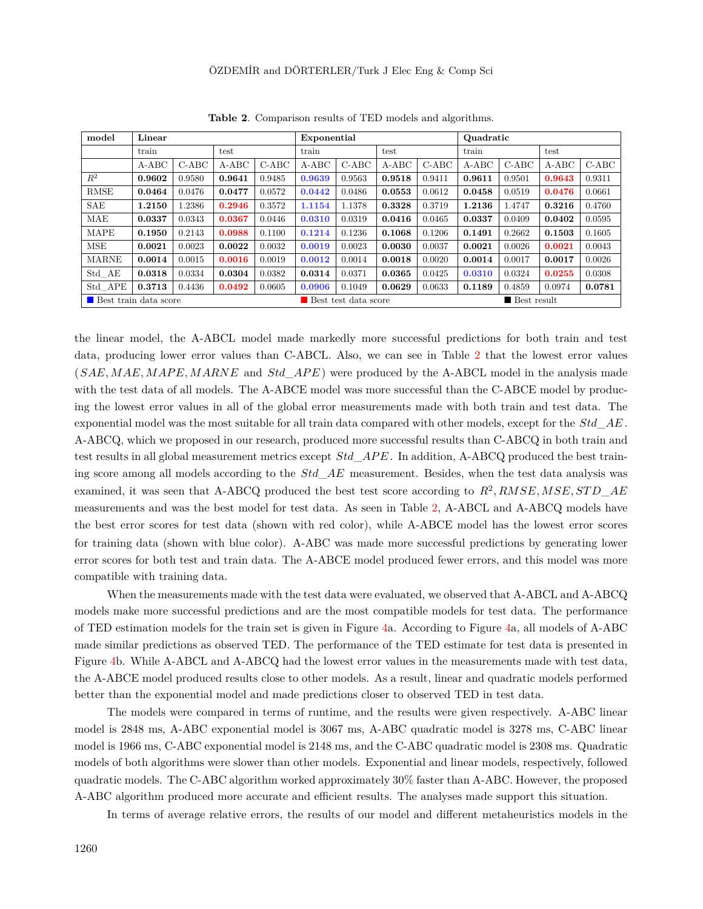<span id="page-10-0"></span>

| model                                                          | Linear  |         |         |         | Exponential |        |         |         | Quadratic |         |         |         |
|----------------------------------------------------------------|---------|---------|---------|---------|-------------|--------|---------|---------|-----------|---------|---------|---------|
|                                                                | train   |         | test    |         | train       |        | test    |         | train     |         | test    |         |
|                                                                | $A-ABC$ | $C-ABC$ | $A-ABC$ | $C-ABC$ | $A-ABC$     | C-ABC  | $A-ABC$ | $C-ABC$ | $A-ABC$   | $C-ABC$ | $A-ABC$ | $C-ABC$ |
| $R^2$                                                          | 0.9602  | 0.9580  | 0.9641  | 0.9485  | 0.9639      | 0.9563 | 0.9518  | 0.9411  | 0.9611    | 0.9501  | 0.9643  | 0.9311  |
| RMSE                                                           | 0.0464  | 0.0476  | 0.0477  | 0.0572  | 0.0442      | 0.0486 | 0.0553  | 0.0612  | 0.0458    | 0.0519  | 0.0476  | 0.0661  |
| SAE                                                            | 1.2150  | 1.2386  | 0.2946  | 0.3572  | 1.1154      | 1.1378 | 0.3328  | 0.3719  | 1.2136    | 1.4747  | 0.3216  | 0.4760  |
| MAE                                                            | 0.0337  | 0.0343  | 0.0367  | 0.0446  | 0.0310      | 0.0319 | 0.0416  | 0.0465  | 0.0337    | 0.0409  | 0.0402  | 0.0595  |
| <b>MAPE</b>                                                    | 0.1950  | 0.2143  | 0.0988  | 0.1100  | 0.1214      | 0.1236 | 0.1068  | 0.1206  | 0.1491    | 0.2662  | 0.1503  | 0.1605  |
| <b>MSE</b>                                                     | 0.0021  | 0.0023  | 0.0022  | 0.0032  | 0.0019      | 0.0023 | 0.0030  | 0.0037  | 0.0021    | 0.0026  | 0.0021  | 0.0043  |
| <b>MARNE</b>                                                   | 0.0014  | 0.0015  | 0.0016  | 0.0019  | 0.0012      | 0.0014 | 0.0018  | 0.0020  | 0.0014    | 0.0017  | 0.0017  | 0.0026  |
| Std AE                                                         | 0.0318  | 0.0334  | 0.0304  | 0.0382  | 0.0314      | 0.0371 | 0.0365  | 0.0425  | 0.0310    | 0.0324  | 0.0255  | 0.0308  |
| Std APE                                                        | 0.3713  | 0.4436  | 0.0492  | 0.0605  | 0.0906      | 0.1049 | 0.0629  | 0.0633  | 0.1189    | 0.4859  | 0.0974  | 0.0781  |
| Best train data score<br>■ Best result<br>Best test data score |         |         |         |         |             |        |         |         |           |         |         |         |

**Table 2**. Comparison results of TED models and algorithms.

the linear model, the A-ABCL model made markedly more successful predictions for both train and test data, producing lower error values than C-ABCL. Also, we can see in Table [2](#page-10-0) that the lowest error values (*SAE, MAE, MAPE, MARNE* and *Std APE*) were produced by the A-ABCL model in the analysis made with the test data of all models. The A-ABCE model was more successful than the C-ABCE model by producing the lowest error values in all of the global error measurements made with both train and test data. The exponential model was the most suitable for all train data compared with other models, except for the *Std*\_*AE* . A-ABCQ, which we proposed in our research, produced more successful results than C-ABCQ in both train and test results in all global measurement metrics except  $Std\_APE$ . In addition, A-ABCQ produced the best training score among all models according to the *Std*\_*AE* measurement. Besides, when the test data analysis was examined, it was seen that A-ABCQ produced the best test score according to  $R^2$ ,  $RMSE$ ,  $MSE$ ,  $STD\_AE$ measurements and was the best model for test data. As seen in Table [2](#page-10-0), A-ABCL and A-ABCQ models have the best error scores for test data (shown with red color), while A-ABCE model has the lowest error scores for training data (shown with blue color). A-ABC was made more successful predictions by generating lower error scores for both test and train data. The A-ABCE model produced fewer errors, and this model was more compatible with training data.

When the measurements made with the test data were evaluated, we observed that A-ABCL and A-ABCQ models make more successful predictions and are the most compatible models for test data. The performance of TED estimation models for the train set is given in Figure [4a](#page-11-0). According to Figure [4](#page-11-0)a, all models of A-ABC made similar predictions as observed TED. The performance of the TED estimate for test data is presented in Figure [4b](#page-11-0). While A-ABCL and A-ABCQ had the lowest error values in the measurements made with test data, the A-ABCE model produced results close to other models. As a result, linear and quadratic models performed better than the exponential model and made predictions closer to observed TED in test data.

The models were compared in terms of runtime, and the results were given respectively. A-ABC linear model is 2848 ms, A-ABC exponential model is 3067 ms, A-ABC quadratic model is 3278 ms, C-ABC linear model is 1966 ms, C-ABC exponential model is 2148 ms, and the C-ABC quadratic model is 2308 ms. Quadratic models of both algorithms were slower than other models. Exponential and linear models, respectively, followed quadratic models. The C-ABC algorithm worked approximately 30% faster than A-ABC. However, the proposed A-ABC algorithm produced more accurate and efficient results. The analyses made support this situation.

In terms of average relative errors, the results of our model and different metaheuristics models in the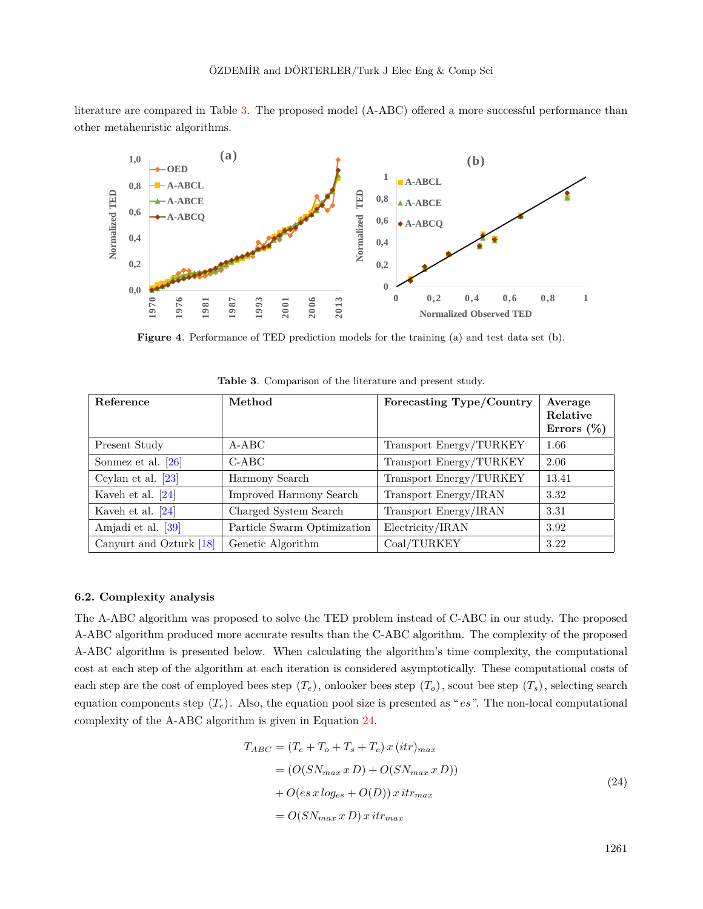literature are compared in Table [3](#page-11-1). The proposed model (A-ABC) offered a more successful performance than other metaheuristic algorithms.



**Figure 4**. Performance of TED prediction models for the training (a) and test data set (b).

<span id="page-11-1"></span>

| Reference               | Method                      | Forecasting Type/Country | Average<br>Relative<br>Errors $(\%)$ |
|-------------------------|-----------------------------|--------------------------|--------------------------------------|
| Present Study           | $A-ABC$                     | Transport Energy/TURKEY  | 1.66                                 |
| Sonmez et al. $[26]$    | $C-ABC$                     | Transport Energy/TURKEY  | 2.06                                 |
| Ceylan et al. $[23]$    | Harmony Search              | Transport Energy/TURKEY  | 13.41                                |
| Kaveh et al. $[24]$     | Improved Harmony Search     | Transport Energy/IRAN    | 3.32                                 |
| Kaveh et al. $[24]$     | Charged System Search       | Transport Energy/IRAN    | 3.31                                 |
| Amjadi et al. [39]      | Particle Swarm Optimization | Electricity/IRAN         | 3.92                                 |
| Canyurt and Ozturk [18] | Genetic Algorithm           | Coal/TURKEY              | 3.22                                 |

<span id="page-11-0"></span>**Table 3**. Comparison of the literature and present study.

#### **6.2. Complexity analysis**

The A-ABC algorithm was proposed to solve the TED problem instead of C-ABC in our study. The proposed A-ABC algorithm produced more accurate results than the C-ABC algorithm. The complexity of the proposed A-ABC algorithm is presented below. When calculating the algorithm's time complexity, the computational cost at each step of the algorithm at each iteration is considered asymptotically. These computational costs of each step are the cost of employed bees step  $(T_e)$ , onlooker bees step  $(T_o)$ , scout bee step  $(T_s)$ , selecting search equation components step (*Tc*). Also, the equation pool size is presented as "*es*". The non-local computational complexity of the A-ABC algorithm is given in Equation [24.](#page-11-2)

<span id="page-11-2"></span>
$$
T_{ABC} = (T_e + T_o + T_s + T_c) x (itr)_{max}
$$
  
= (O(SN\_{max} x D) + O(SN\_{max} x D))  
+ O(es x log\_{es} + O(D)) x itr\_{max}  
= O(SN\_{max} x D) x itr\_{max} (30)  

$$
C(SN_{max} x D) x i tr_{max}
$$
 (24)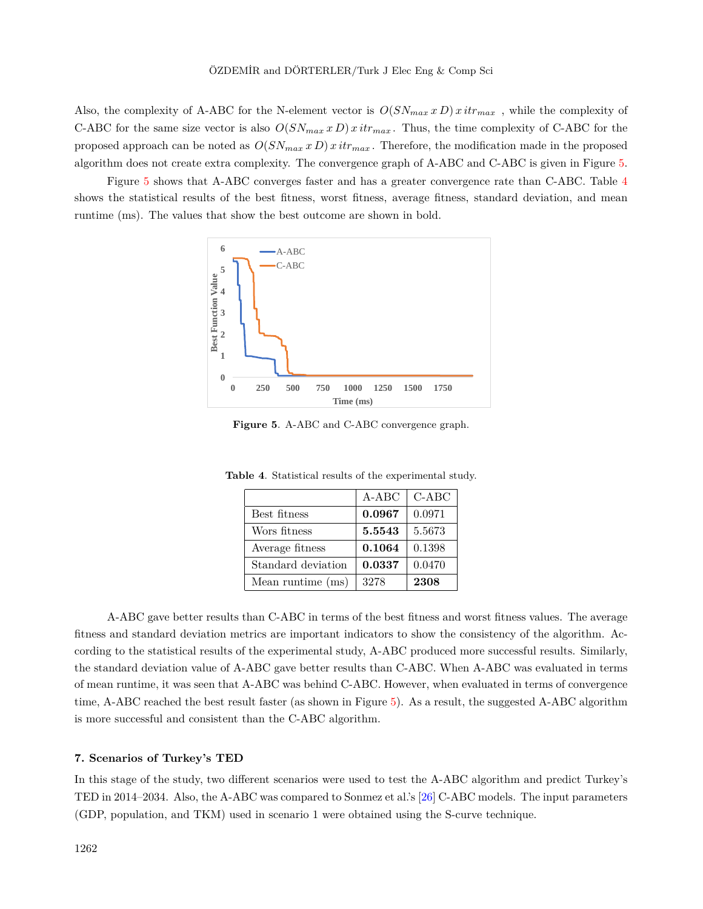Also, the complexity of A-ABC for the N-element vector is  $O(SN_{max} x D) x i t r_{max}$ , while the complexity of C-ABC for the same size vector is also  $O(SN_{max} x D) x i t r_{max}$ . Thus, the time complexity of C-ABC for the proposed approach can be noted as  $O(SN_{max} x D) x i t r_{max}$ . Therefore, the modification made in the proposed algorithm does not create extra complexity. The convergence graph of A-ABC and C-ABC is given in Figure [5](#page-12-1).

Figure [5](#page-12-1) shows that A-ABC converges faster and has a greater convergence rate than C-ABC. Table [4](#page-12-2) shows the statistical results of the best fitness, worst fitness, average fitness, standard deviation, and mean runtime (ms). The values that show the best outcome are shown in bold.



<span id="page-12-1"></span>**Figure 5**. A-ABC and C-ABC convergence graph.

|                    | $A-ABC$ | $C-ABC$ |
|--------------------|---------|---------|
| Best fitness       | 0.0967  | 0.0971  |
| Wors fitness       | 5.5543  | 5.5673  |
| Average fitness    | 0.1064  | 0.1398  |
| Standard deviation | 0.0337  | 0.0470  |
| Mean runtime (ms)  | 3278    | 2308    |

<span id="page-12-2"></span>**Table 4**. Statistical results of the experimental study.

A-ABC gave better results than C-ABC in terms of the best fitness and worst fitness values. The average fitness and standard deviation metrics are important indicators to show the consistency of the algorithm. According to the statistical results of the experimental study, A-ABC produced more successful results. Similarly, the standard deviation value of A-ABC gave better results than C-ABC. When A-ABC was evaluated in terms of mean runtime, it was seen that A-ABC was behind C-ABC. However, when evaluated in terms of convergence time, A-ABC reached the best result faster (as shown in Figure [5](#page-12-1)). As a result, the suggested A-ABC algorithm is more successful and consistent than the C-ABC algorithm.

#### <span id="page-12-0"></span>**7. Scenarios of Turkey's TED**

In this stage of the study, two different scenarios were used to test the A-ABC algorithm and predict Turkey's TED in 2014–2034. Also, the A-ABC was compared to Sonmez et al.'s [[26\]](#page-17-8) C-ABC models. The input parameters (GDP, population, and TKM) used in scenario 1 were obtained using the S-curve technique.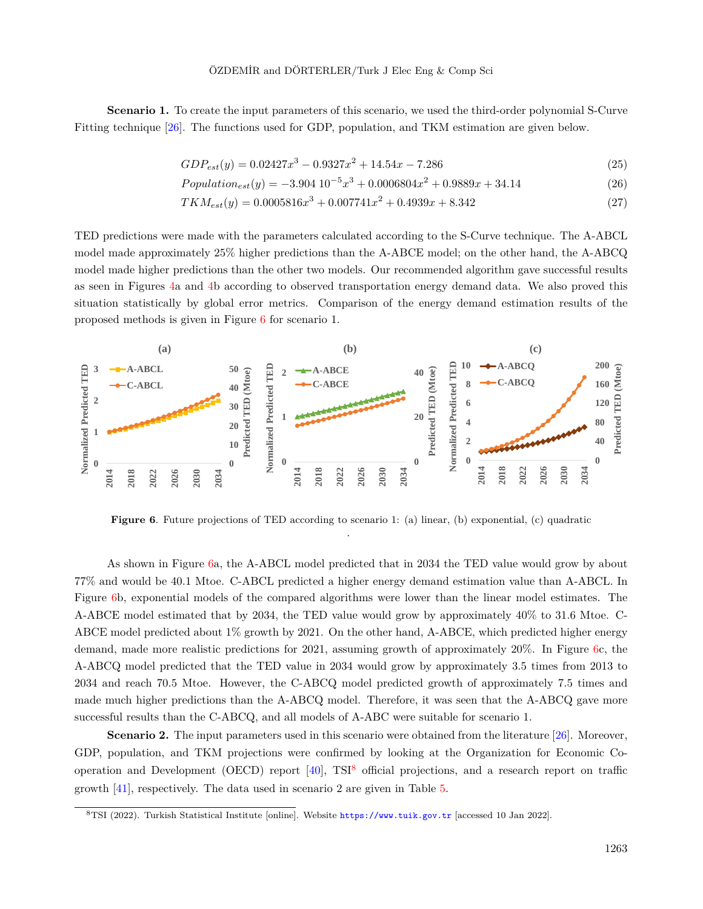**Scenario 1.** To create the input parameters of this scenario, we used the third-order polynomial S-Curve Fitting technique [\[26](#page-17-8)]. The functions used for GDP, population, and TKM estimation are given below.

$$
GDP_{est}(y) = 0.02427x^3 - 0.9327x^2 + 14.54x - 7.286
$$
\n
$$
(25)
$$

$$
Population_{est}(y) = -3.904 \ 10^{-5}x^3 + 0.0006804x^2 + 0.9889x + 34.14 \tag{26}
$$

$$
TKM_{est}(y) = 0.0005816x^3 + 0.007741x^2 + 0.4939x + 8.342
$$
\n
$$
(27)
$$

TED predictions were made with the parameters calculated according to the S-Curve technique. The A-ABCL model made approximately 25% higher predictions than the A-ABCE model; on the other hand, the A-ABCQ model made higher predictions than the other two models. Our recommended algorithm gave successful results as seen in Figures [4a](#page-11-0) and [4](#page-11-0)b according to observed transportation energy demand data. We also proved this situation statistically by global error metrics. Comparison of the energy demand estimation results of the proposed methods is given in Figure [6](#page-13-0) for scenario 1.



<span id="page-13-0"></span>**Figure 6.** Future projections of TED according to scenario 1: (a) linear, (b) exponential, (c) quadratic .

As shown in Figure [6](#page-13-0)a, the A-ABCL model predicted that in 2034 the TED value would grow by about 77% and would be 40.1 Mtoe. C-ABCL predicted a higher energy demand estimation value than A-ABCL. In Figure [6](#page-13-0)b, exponential models of the compared algorithms were lower than the linear model estimates. The A-ABCE model estimated that by 2034, the TED value would grow by approximately 40% to 31.6 Mtoe. C-ABCE model predicted about 1% growth by 2021. On the other hand, A-ABCE, which predicted higher energy demand, made more realistic predictions for 2021, assuming growth of approximately 20%. In Figure [6c](#page-13-0), the A-ABCQ model predicted that the TED value in 2034 would grow by approximately 3.5 times from 2013 to 2034 and reach 70.5 Mtoe. However, the C-ABCQ model predicted growth of approximately 7.5 times and made much higher predictions than the A-ABCQ model. Therefore, it was seen that the A-ABCQ gave more successful results than the C-ABCQ, and all models of A-ABC were suitable for scenario 1.

**Scenario 2.** The input parameters used in this scenario were obtained from the literature [[26\]](#page-17-8). Moreover, GDP, population, and TKM projections were confirmed by looking at the Organization for Economic Cooperation and Development (OECD) report  $[40]$ , TSI<sup>[8](#page-13-1)</sup> official projections, and a research report on traffic growth [\[41](#page-18-3)], respectively. The data used in scenario 2 are given in Table [5](#page-14-0).

<span id="page-13-1"></span><sup>8</sup>TSI (2022). Turkish Statistical Institute [online]. Website <https://www.tuik.gov.tr> [accessed 10 Jan 2022].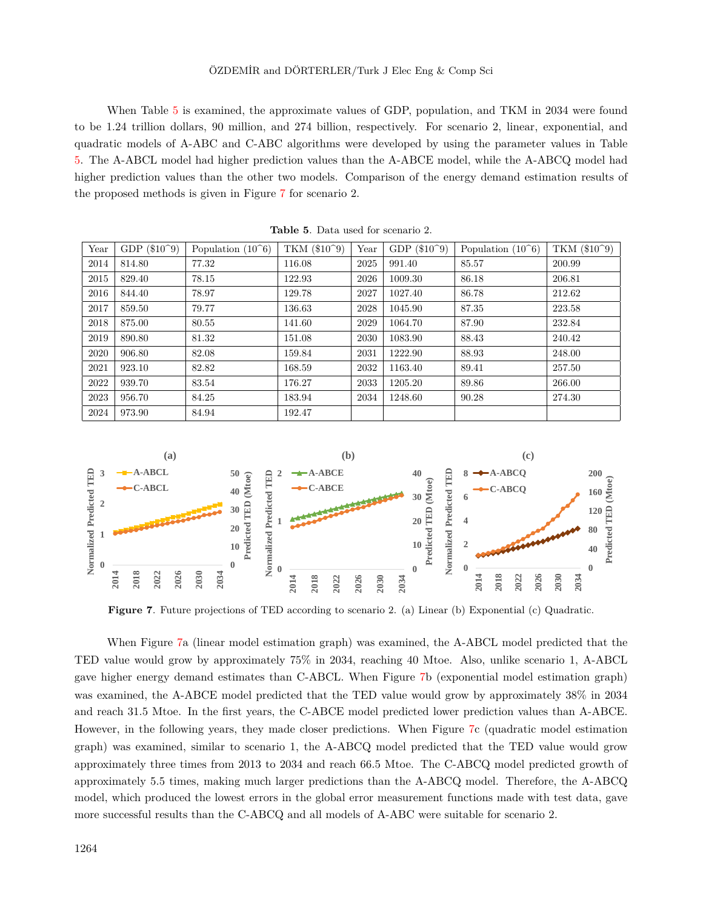#### ÖZDEMİR and DÖRTERLER/Turk J Elec Eng & Comp Sci

When Table [5](#page-14-0) is examined, the approximate values of GDP, population, and TKM in 2034 were found to be 1.24 trillion dollars, 90 million, and 274 billion, respectively. For scenario 2, linear, exponential, and quadratic models of A-ABC and C-ABC algorithms were developed by using the parameter values in Table [5.](#page-14-0) The A-ABCL model had higher prediction values than the A-ABCE model, while the A-ABCQ model had higher prediction values than the other two models. Comparison of the energy demand estimation results of the proposed methods is given in Figure [7](#page-14-1) for scenario 2.

<span id="page-14-0"></span>

| Year | $GDP (\$10^9)$ | $(10^{\circ}6)$<br>Population ( | TKM (\$10^9) | Year | $($10^9)$<br><b>GDP</b> | Population $(10^6)$ | TKM $(\$10^9)$ |
|------|----------------|---------------------------------|--------------|------|-------------------------|---------------------|----------------|
| 2014 | 814.80         | 77.32                           | 116.08       | 2025 | 991.40                  | 85.57               | 200.99         |
| 2015 | 829.40         | 78.15                           | 122.93       | 2026 | 1009.30                 | 86.18               | 206.81         |
| 2016 | 844.40         | 78.97                           | 129.78       | 2027 | 1027.40                 | 86.78               | 212.62         |
| 2017 | 859.50         | 79.77                           | 136.63       | 2028 | 1045.90                 | 87.35               | 223.58         |
| 2018 | 875.00         | 80.55                           | 141.60       | 2029 | 1064.70                 | 87.90               | 232.84         |
| 2019 | 890.80         | 81.32                           | 151.08       | 2030 | 1083.90                 | 88.43               | 240.42         |
| 2020 | 906.80         | 82.08                           | 159.84       | 2031 | 1222.90                 | 88.93               | 248.00         |
| 2021 | 923.10         | 82.82                           | 168.59       | 2032 | 1163.40                 | 89.41               | 257.50         |
| 2022 | 939.70         | 83.54                           | 176.27       | 2033 | 1205.20                 | 89.86               | 266.00         |
| 2023 | 956.70         | 84.25                           | 183.94       | 2034 | 1248.60                 | 90.28               | 274.30         |
| 2024 | 973.90         | 84.94                           | 192.47       |      |                         |                     |                |

<span id="page-14-1"></span>**Table 5**. Data used for scenario 2.



**Figure 7**. Future projections of TED according to scenario 2. (a) Linear (b) Exponential (c) Quadratic.

When Figure [7](#page-14-1)a (linear model estimation graph) was examined, the A-ABCL model predicted that the TED value would grow by approximately 75% in 2034, reaching 40 Mtoe. Also, unlike scenario 1, A-ABCL gave higher energy demand estimates than C-ABCL. When Figure [7b](#page-14-1) (exponential model estimation graph) was examined, the A-ABCE model predicted that the TED value would grow by approximately 38% in 2034 and reach 31.5 Mtoe. In the first years, the C-ABCE model predicted lower prediction values than A-ABCE. However, in the following years, they made closer predictions. When Figure [7](#page-14-1)c (quadratic model estimation graph) was examined, similar to scenario 1, the A-ABCQ model predicted that the TED value would grow approximately three times from 2013 to 2034 and reach 66.5 Mtoe. The C-ABCQ model predicted growth of approximately 5.5 times, making much larger predictions than the A-ABCQ model. Therefore, the A-ABCQ model, which produced the lowest errors in the global error measurement functions made with test data, gave more successful results than the C-ABCQ and all models of A-ABC were suitable for scenario 2.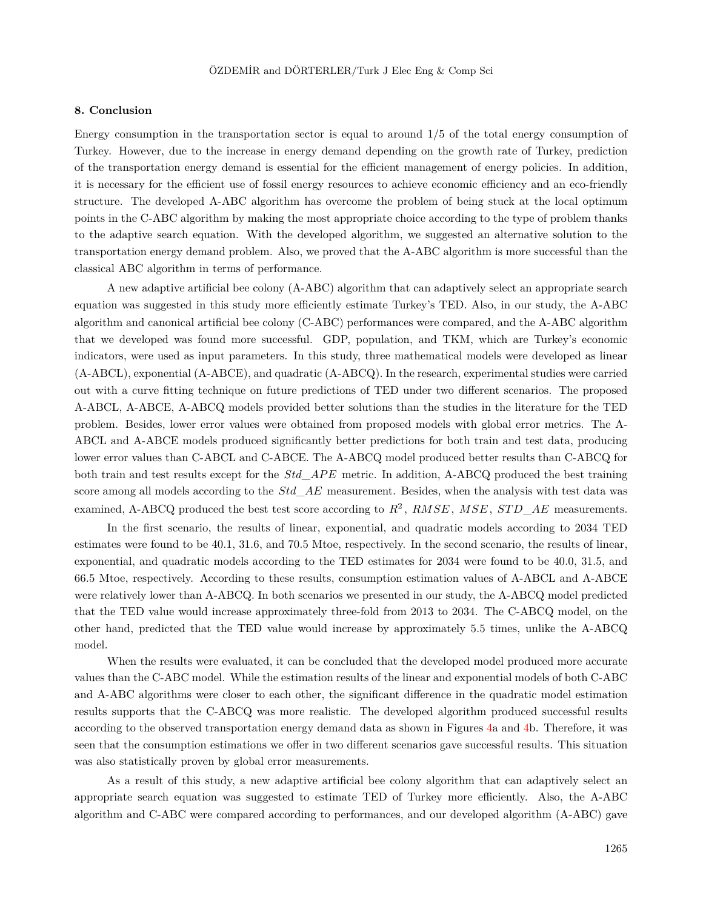#### **8. Conclusion**

Energy consumption in the transportation sector is equal to around  $1/5$  of the total energy consumption of Turkey. However, due to the increase in energy demand depending on the growth rate of Turkey, prediction of the transportation energy demand is essential for the efficient management of energy policies. In addition, it is necessary for the efficient use of fossil energy resources to achieve economic efficiency and an eco-friendly structure. The developed A-ABC algorithm has overcome the problem of being stuck at the local optimum points in the C-ABC algorithm by making the most appropriate choice according to the type of problem thanks to the adaptive search equation. With the developed algorithm, we suggested an alternative solution to the transportation energy demand problem. Also, we proved that the A-ABC algorithm is more successful than the classical ABC algorithm in terms of performance.

A new adaptive artificial bee colony (A-ABC) algorithm that can adaptively select an appropriate search equation was suggested in this study more efficiently estimate Turkey's TED. Also, in our study, the A-ABC algorithm and canonical artificial bee colony (C-ABC) performances were compared, and the A-ABC algorithm that we developed was found more successful. GDP, population, and TKM, which are Turkey's economic indicators, were used as input parameters. In this study, three mathematical models were developed as linear (A-ABCL), exponential (A-ABCE), and quadratic (A-ABCQ). In the research, experimental studies were carried out with a curve fitting technique on future predictions of TED under two different scenarios. The proposed A-ABCL, A-ABCE, A-ABCQ models provided better solutions than the studies in the literature for the TED problem. Besides, lower error values were obtained from proposed models with global error metrics. The A-ABCL and A-ABCE models produced significantly better predictions for both train and test data, producing lower error values than C-ABCL and C-ABCE. The A-ABCQ model produced better results than C-ABCQ for both train and test results except for the *Std*\_*AP E* metric. In addition, A-ABCQ produced the best training score among all models according to the *Std*\_*AE* measurement. Besides, when the analysis with test data was examined, A-ABCQ produced the best test score according to  $R^2$ ,  $RMSE$ ,  $MSE$ ,  $STD\_AE$  measurements.

In the first scenario, the results of linear, exponential, and quadratic models according to 2034 TED estimates were found to be 40.1, 31.6, and 70.5 Mtoe, respectively. In the second scenario, the results of linear, exponential, and quadratic models according to the TED estimates for 2034 were found to be 40.0, 31.5, and 66.5 Mtoe, respectively. According to these results, consumption estimation values of A-ABCL and A-ABCE were relatively lower than A-ABCQ. In both scenarios we presented in our study, the A-ABCQ model predicted that the TED value would increase approximately three-fold from 2013 to 2034. The C-ABCQ model, on the other hand, predicted that the TED value would increase by approximately 5.5 times, unlike the A-ABCQ model.

When the results were evaluated, it can be concluded that the developed model produced more accurate values than the C-ABC model. While the estimation results of the linear and exponential models of both C-ABC and A-ABC algorithms were closer to each other, the significant difference in the quadratic model estimation results supports that the C-ABCQ was more realistic. The developed algorithm produced successful results according to the observed transportation energy demand data as shown in Figures [4](#page-11-0)a and [4](#page-11-0)b. Therefore, it was seen that the consumption estimations we offer in two different scenarios gave successful results. This situation was also statistically proven by global error measurements.

As a result of this study, a new adaptive artificial bee colony algorithm that can adaptively select an appropriate search equation was suggested to estimate TED of Turkey more efficiently. Also, the A-ABC algorithm and C-ABC were compared according to performances, and our developed algorithm (A-ABC) gave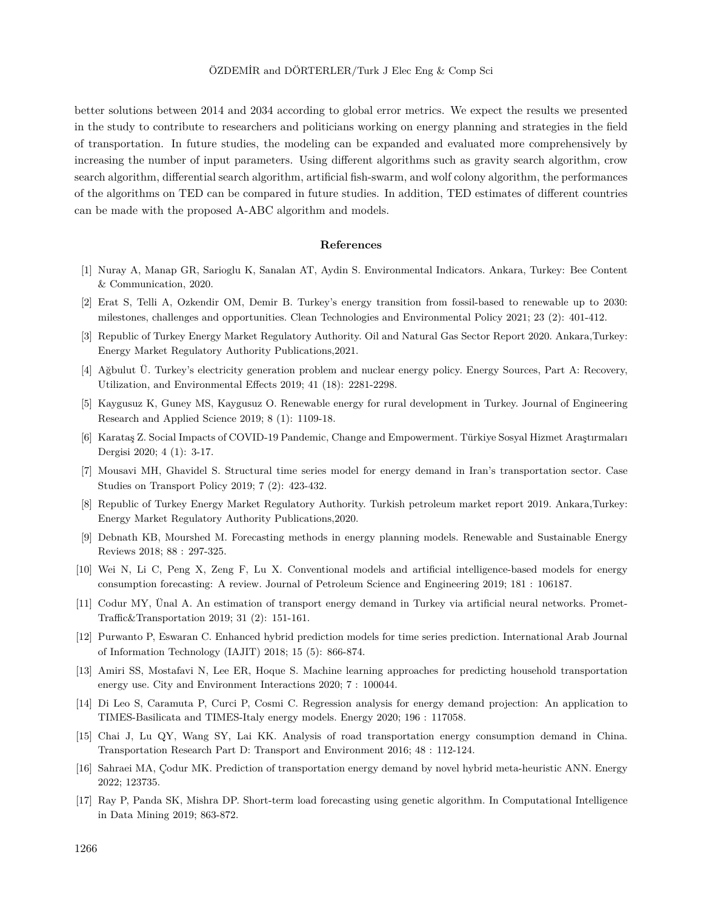better solutions between 2014 and 2034 according to global error metrics. We expect the results we presented in the study to contribute to researchers and politicians working on energy planning and strategies in the field of transportation. In future studies, the modeling can be expanded and evaluated more comprehensively by increasing the number of input parameters. Using different algorithms such as gravity search algorithm, crow search algorithm, differential search algorithm, artificial fish-swarm, and wolf colony algorithm, the performances of the algorithms on TED can be compared in future studies. In addition, TED estimates of different countries can be made with the proposed A-ABC algorithm and models.

#### **References**

- <span id="page-16-0"></span>[1] Nuray A, Manap GR, Sarioglu K, Sanalan AT, Aydin S. Environmental Indicators. Ankara, Turkey: Bee Content & Communication, 2020.
- <span id="page-16-1"></span>[2] Erat S, Telli A, Ozkendir OM, Demir B. Turkey's energy transition from fossil-based to renewable up to 2030: milestones, challenges and opportunities. Clean Technologies and Environmental Policy 2021; 23 (2): 401-412.
- <span id="page-16-2"></span>[3] Republic of Turkey Energy Market Regulatory Authority. Oil and Natural Gas Sector Report 2020. Ankara,Turkey: Energy Market Regulatory Authority Publications,2021.
- <span id="page-16-3"></span>[4] Ağbulut Ü. Turkey's electricity generation problem and nuclear energy policy. Energy Sources, Part A: Recovery, Utilization, and Environmental Effects 2019; 41 (18): 2281-2298.
- <span id="page-16-4"></span>[5] Kaygusuz K, Guney MS, Kaygusuz O. Renewable energy for rural development in Turkey. Journal of Engineering Research and Applied Science 2019; 8 (1): 1109-18.
- <span id="page-16-5"></span>[6] Karataş Z. Social Impacts of COVID-19 Pandemic, Change and Empowerment. Türkiye Sosyal Hizmet Araştırmaları Dergisi 2020; 4 (1): 3-17.
- <span id="page-16-6"></span>[7] Mousavi MH, Ghavidel S. Structural time series model for energy demand in Iran's transportation sector. Case Studies on Transport Policy 2019; 7 (2): 423-432.
- <span id="page-16-7"></span>[8] Republic of Turkey Energy Market Regulatory Authority. Turkish petroleum market report 2019. Ankara,Turkey: Energy Market Regulatory Authority Publications,2020.
- <span id="page-16-8"></span>[9] Debnath KB, Mourshed M. Forecasting methods in energy planning models. Renewable and Sustainable Energy Reviews 2018; 88 : 297-325.
- <span id="page-16-9"></span>[10] Wei N, Li C, Peng X, Zeng F, Lu X. Conventional models and artificial intelligence-based models for energy consumption forecasting: A review. Journal of Petroleum Science and Engineering 2019; 181 : 106187.
- <span id="page-16-10"></span>[11] Codur MY, Ünal A. An estimation of transport energy demand in Turkey via artificial neural networks. Promet-Traffic&Transportation 2019; 31 (2): 151-161.
- <span id="page-16-11"></span>[12] Purwanto P, Eswaran C. Enhanced hybrid prediction models for time series prediction. International Arab Journal of Information Technology (IAJIT) 2018; 15 (5): 866-874.
- <span id="page-16-12"></span>[13] Amiri SS, Mostafavi N, Lee ER, Hoque S. Machine learning approaches for predicting household transportation energy use. City and Environment Interactions 2020; 7 : 100044.
- <span id="page-16-13"></span>[14] Di Leo S, Caramuta P, Curci P, Cosmi C. Regression analysis for energy demand projection: An application to TIMES-Basilicata and TIMES-Italy energy models. Energy 2020; 196 : 117058.
- <span id="page-16-14"></span>[15] Chai J, Lu QY, Wang SY, Lai KK. Analysis of road transportation energy consumption demand in China. Transportation Research Part D: Transport and Environment 2016; 48 : 112-124.
- <span id="page-16-15"></span>[16] Sahraei MA, Çodur MK. Prediction of transportation energy demand by novel hybrid meta-heuristic ANN. Energy 2022; 123735.
- <span id="page-16-16"></span>[17] Ray P, Panda SK, Mishra DP. Short-term load forecasting using genetic algorithm. In Computational Intelligence in Data Mining 2019; 863-872.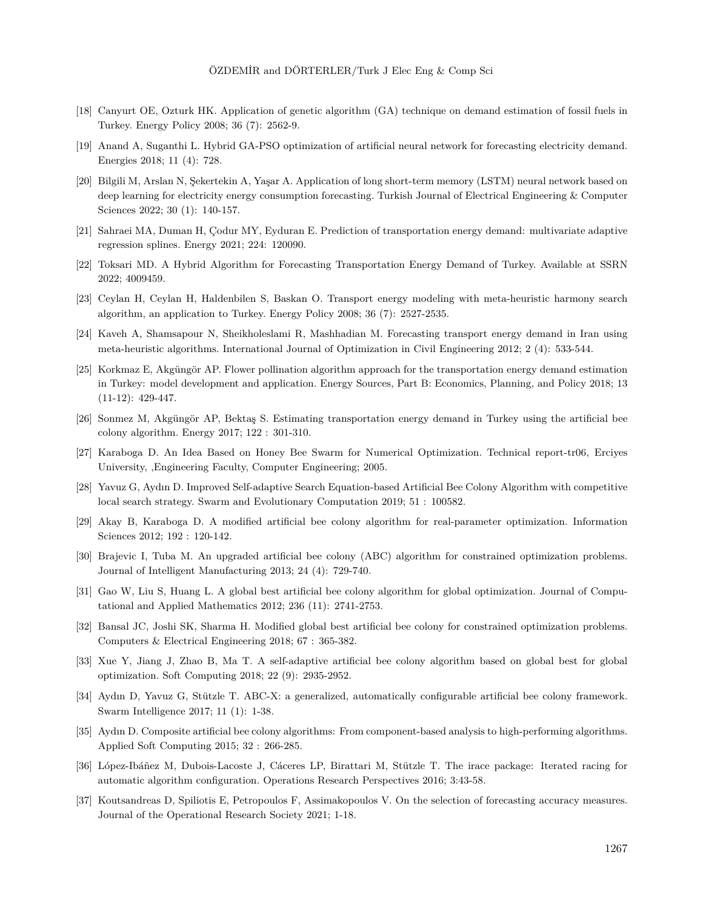- <span id="page-17-0"></span>[18] Canyurt OE, Ozturk HK. Application of genetic algorithm (GA) technique on demand estimation of fossil fuels in Turkey. Energy Policy 2008; 36 (7): 2562-9.
- <span id="page-17-1"></span>[19] Anand A, Suganthi L. Hybrid GA-PSO optimization of artificial neural network for forecasting electricity demand. Energies 2018; 11 (4): 728.
- <span id="page-17-2"></span>[20] Bilgili M, Arslan N, Şekertekin A, Yaşar A. Application of long short-term memory (LSTM) neural network based on deep learning for electricity energy consumption forecasting. Turkish Journal of Electrical Engineering & Computer Sciences 2022; 30 (1): 140-157.
- <span id="page-17-3"></span>[21] Sahraei MA, Duman H, Çodur MY, Eyduran E. Prediction of transportation energy demand: multivariate adaptive regression splines. Energy 2021; 224: 120090.
- <span id="page-17-4"></span>[22] Toksari MD. A Hybrid Algorithm for Forecasting Transportation Energy Demand of Turkey. Available at SSRN 2022; 4009459.
- <span id="page-17-5"></span>[23] Ceylan H, Ceylan H, Haldenbilen S, Baskan O. Transport energy modeling with meta-heuristic harmony search algorithm, an application to Turkey. Energy Policy 2008; 36 (7): 2527-2535.
- <span id="page-17-6"></span>[24] Kaveh A, Shamsapour N, Sheikholeslami R, Mashhadian M. Forecasting transport energy demand in Iran using meta-heuristic algorithms. International Journal of Optimization in Civil Engineering 2012; 2 (4): 533-544.
- <span id="page-17-7"></span>[25] Korkmaz E, Akgüngör AP. Flower pollination algorithm approach for the transportation energy demand estimation in Turkey: model development and application. Energy Sources, Part B: Economics, Planning, and Policy 2018; 13 (11-12): 429-447.
- <span id="page-17-8"></span>[26] Sonmez M, Akgüngör AP, Bektaş S. Estimating transportation energy demand in Turkey using the artificial bee colony algorithm. Energy 2017; 122 : 301-310.
- <span id="page-17-9"></span>[27] Karaboga D. An Idea Based on Honey Bee Swarm for Numerical Optimization. Technical report-tr06, Erciyes University, ,Engineering Faculty, Computer Engineering; 2005.
- <span id="page-17-10"></span>[28] Yavuz G, Aydın D. Improved Self-adaptive Search Equation-based Artificial Bee Colony Algorithm with competitive local search strategy. Swarm and Evolutionary Computation 2019; 51 : 100582.
- <span id="page-17-16"></span>[29] Akay B, Karaboga D. A modified artificial bee colony algorithm for real-parameter optimization. Information Sciences 2012; 192 : 120-142.
- <span id="page-17-11"></span>[30] Brajevic I, Tuba M. An upgraded artificial bee colony (ABC) algorithm for constrained optimization problems. Journal of Intelligent Manufacturing 2013; 24 (4): 729-740.
- <span id="page-17-12"></span>[31] Gao W, Liu S, Huang L. A global best artificial bee colony algorithm for global optimization. Journal of Computational and Applied Mathematics 2012; 236 (11): 2741-2753.
- [32] Bansal JC, Joshi SK, Sharma H. Modified global best artificial bee colony for constrained optimization problems. Computers & Electrical Engineering 2018; 67 : 365-382.
- <span id="page-17-13"></span>[33] Xue Y, Jiang J, Zhao B, Ma T. A self-adaptive artificial bee colony algorithm based on global best for global optimization. Soft Computing 2018; 22 (9): 2935-2952.
- <span id="page-17-14"></span>[34] Aydın D, Yavuz G, Stützle T. ABC-X: a generalized, automatically configurable artificial bee colony framework. Swarm Intelligence 2017; 11 (1): 1-38.
- <span id="page-17-15"></span>[35] Aydın D. Composite artificial bee colony algorithms: From component-based analysis to high-performing algorithms. Applied Soft Computing 2015; 32 : 266-285.
- <span id="page-17-17"></span>[36] López-Ibáñez M, Dubois-Lacoste J, Cáceres LP, Birattari M, Stützle T. The irace package: Iterated racing for automatic algorithm configuration. Operations Research Perspectives 2016; 3:43-58.
- <span id="page-17-18"></span>[37] Koutsandreas D, Spiliotis E, Petropoulos F, Assimakopoulos V. On the selection of forecasting accuracy measures. Journal of the Operational Research Society 2021; 1-18.